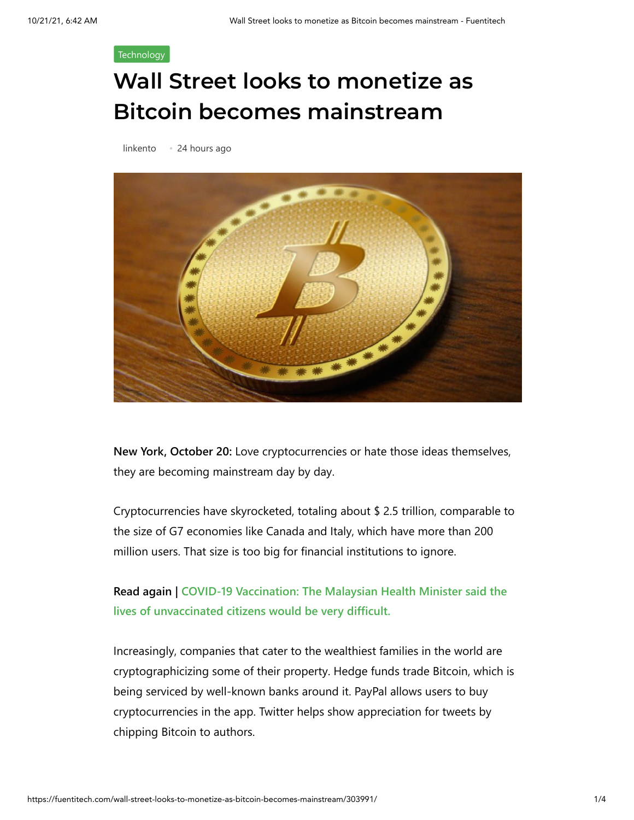## **[Technology](https://fuentitech.com/category/technology/)**

## **Wall Street looks to monetize as Bitcoin becomes mainstream**

[linkento](https://fuentitech.com/author/linkento/) • 24 hours ago



**New York, October 20:** Love cryptocurrencies or hate those ideas themselves, they are becoming mainstream day by day.

Cryptocurrencies have skyrocketed, totaling about \$ 2.5 trillion, comparable to the size of G7 economies like Canada and Italy, which have more than 200 million users. That size is too big for financial institutions to ignore.

## **[Read again | COVID-19 Vaccination: The Malaysian Health Minister said the](https://www.latestly.com/world/covid-19-vaccination-will-make-life-very-difficult-for-unvaccinated-citizens-says-malaysia-health-minister-2966637.html) lives of unvaccinated citizens would be very difficult.**

Increasingly, companies that cater to the wealthiest families in the world are cryptographicizing some of their property. Hedge funds trade Bitcoin, which is being serviced by well-known banks around it. PayPal allows users to buy cryptocurrencies in the app. Twitter helps show appreciation for tweets by chipping Bitcoin to authors.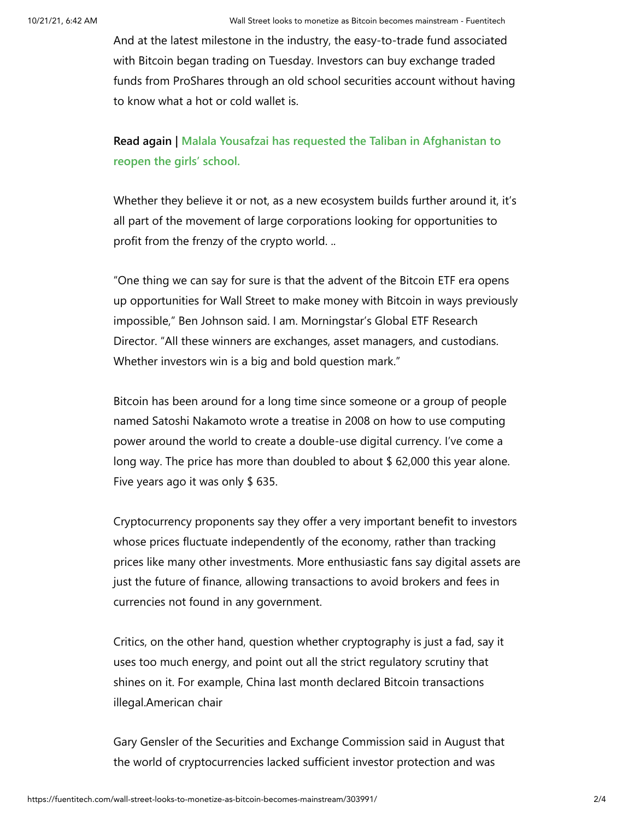And at the latest milestone in the industry, the easy-to-trade fund associated with Bitcoin began trading on Tuesday. Investors can buy exchange traded funds from ProShares through an old school securities account without having to know what a hot or cold wallet is.

**[Read again | Malala Yousafzai has requested the Taliban in Afghanistan to](https://www.latestly.com/world/malala-yousafzai-asks-taliban-in-afghanistan-to-reopen-schools-for-girls-2966616.html) reopen the girls' school.**

Whether they believe it or not, as a new ecosystem builds further around it, it's all part of the movement of large corporations looking for opportunities to profit from the frenzy of the crypto world. ..

"One thing we can say for sure is that the advent of the Bitcoin ETF era opens up opportunities for Wall Street to make money with Bitcoin in ways previously impossible," Ben Johnson said. I am. Morningstar's Global ETF Research Director. "All these winners are exchanges, asset managers, and custodians. Whether investors win is a big and bold question mark."

Bitcoin has been around for a long time since someone or a group of people named Satoshi Nakamoto wrote a treatise in 2008 on how to use computing power around the world to create a double-use digital currency. I've come a long way. The price has more than doubled to about \$ 62,000 this year alone. Five years ago it was only \$ 635.

Cryptocurrency proponents say they offer a very important benefit to investors whose prices fluctuate independently of the economy, rather than tracking prices like many other investments. More enthusiastic fans say digital assets are just the future of finance, allowing transactions to avoid brokers and fees in currencies not found in any government.

Critics, on the other hand, question whether cryptography is just a fad, say it uses too much energy, and point out all the strict regulatory scrutiny that shines on it. For example, China last month declared Bitcoin transactions illegal.American chair

Gary Gensler of the Securities and Exchange Commission said in August that the world of cryptocurrencies lacked sufficient investor protection and was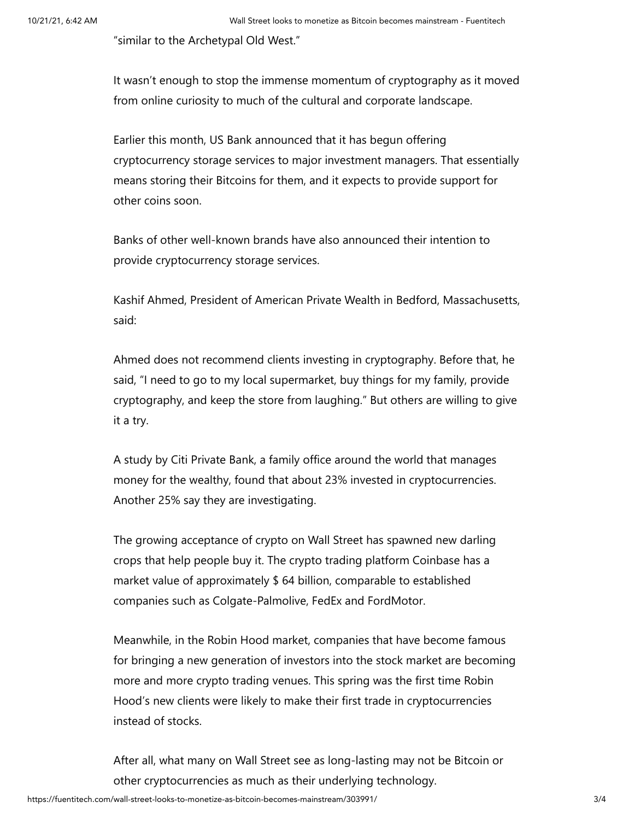"similar to the Archetypal Old West."

It wasn't enough to stop the immense momentum of cryptography as it moved from online curiosity to much of the cultural and corporate landscape.

Earlier this month, US Bank announced that it has begun offering cryptocurrency storage services to major investment managers. That essentially means storing their Bitcoins for them, and it expects to provide support for other coins soon.

Banks of other well-known brands have also announced their intention to provide cryptocurrency storage services.

Kashif Ahmed, President of American Private Wealth in Bedford, Massachusetts, said:

Ahmed does not recommend clients investing in cryptography. Before that, he said, "I need to go to my local supermarket, buy things for my family, provide cryptography, and keep the store from laughing." But others are willing to give it a try.

A study by Citi Private Bank, a family office around the world that manages money for the wealthy, found that about 23% invested in cryptocurrencies. Another 25% say they are investigating.

The growing acceptance of crypto on Wall Street has spawned new darling crops that help people buy it. The crypto trading platform Coinbase has a market value of approximately \$ 64 billion, comparable to established companies such as Colgate-Palmolive, FedEx and FordMotor.

Meanwhile, in the Robin Hood market, companies that have become famous for bringing a new generation of investors into the stock market are becoming more and more crypto trading venues. This spring was the first time Robin Hood's new clients were likely to make their first trade in cryptocurrencies instead of stocks.

After all, what many on Wall Street see as long-lasting may not be Bitcoin or other cryptocurrencies as much as their underlying technology.